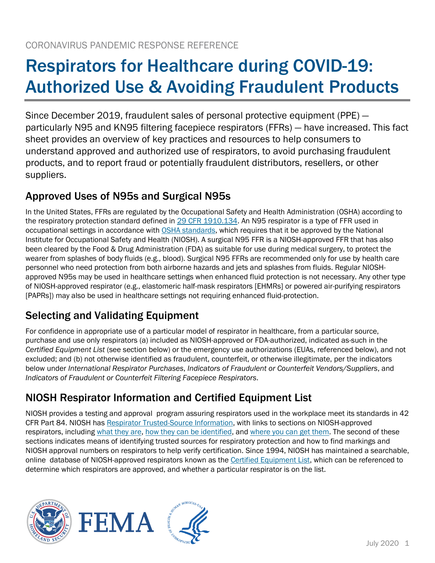# Respirators for Healthcare during COVID-19: Authorized Use & Avoiding Fraudulent Products

Since December 2019, fraudulent sales of personal protective equipment (PPE) particularly N95 and KN95 filtering facepiece respirators (FFRs) — have increased. This fact sheet provides an overview of key practices and resources to help consumers to understand approved and authorized use of respirators, to avoid purchasing fraudulent products, and to report fraud or potentially fraudulent distributors, resellers, or other suppliers.

## Approved Uses of N95s and Surgical N95s

In the United States, FFRs are regulated by the Occupational Safety and Health Administration (OSHA) according to the respiratory protection standard defined in [29 CFR 1910.134.](https://www.osha.gov/laws-regs/regulations/standardnumber/1910/1910.134) An N95 respirator is a type of FFR used in occupational settings in accordance with [OSHA standards,](https://www.osha.gov/laws-regs/regulations/standardnumber/1910/1910.134) which requires that it be approved by the National Institute for Occupational Safety and Health (NIOSH). A surgical N95 FFR is a NIOSH-approved FFR that has also been cleared by the Food & Drug Administration (FDA) as suitable for use during medical surgery, to protect the wearer from splashes of body fluids (e.g., blood). Surgical N95 FFRs are recommended only for use by health care personnel who need protection from both airborne hazards and jets and splashes from fluids. Regular NIOSHapproved N95s may be used in healthcare settings when enhanced fluid protection is not necessary. Any other type of NIOSH-approved respirator (e.g., elastomeric half-mask respirators [EHMRs] or powered air-purifying respirators [PAPRs]) may also be used in healthcare settings not requiring enhanced fluid-protection.

## Selecting and Validating Equipment

For confidence in appropriate use of a particular model of respirator in healthcare, from a particular source, purchase and use only respirators (a) included as NIOSH-approved or FDA-authorized, indicated as-such in the *Certified Equipment List* (see section below) or the emergency use authorizations (EUAs, referenced below), and not excluded; and (b) not otherwise identified as fraudulent, counterfeit, or otherwise illegitimate, per the indicators below under *International Respirator Purchases*, *Indicators of Fraudulent or Counterfeit Vendors/Suppliers*, and *Indicators of Fraudulent or Counterfeit Filtering Facepiece Respirators*.

## NIOSH Respirator Information and Certified Equipment List

NIOSH provides a testing and approval program assuring respirators used in the workplace meet its standards in 42 CFR Part 84. NIOSH has [Respirator Trusted-Source Information,](https://www.cdc.gov/niosh/npptl/topics/respirators/disp_part/respsource.html) with links to sections on NIOSH-approved respirators, including [what they are,](https://www.cdc.gov/niosh/npptl/topics/respirators/disp_part/respsource1quest1.html) [how they can be identified,](https://www.cdc.gov/niosh/npptl/topics/respirators/disp_part/respsource1quest2.html) and [where you can get them.](https://www.cdc.gov/niosh/npptl/topics/respirators/disp_part/respsource1quest3.html) The second of these sections indicates means of identifying trusted sources for respiratory protection and how to find markings and NIOSH approval numbers on respirators to help verify certification. Since 1994, NIOSH has maintained a searchable, online database of NIOSH-approved respirators known as th[e Certified Equipment List,](https://www.cdc.gov/niosh/npptl/topics/respirators/cel/default.html) which can be referenced to determine which respirators are approved, and whether a particular respirator is on the list.





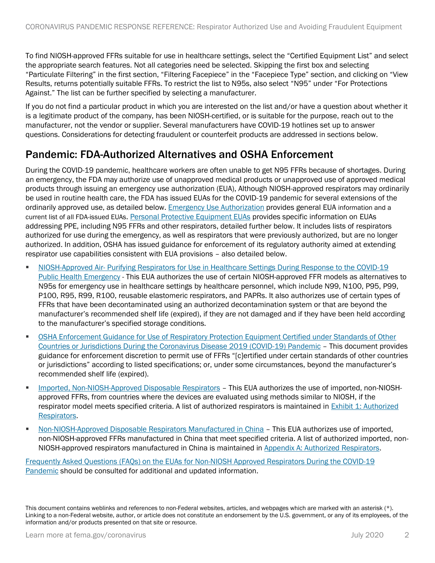To find NIOSH-approved FFRs suitable for use in healthcare settings, select the "Certified Equipment List" and select the appropriate search features. Not all categories need be selected. Skipping the first box and selecting "Particulate Filtering" in the first section, "Filtering Facepiece" in the "Facepiece Type" section, and clicking on "View Results, returns potentially suitable FFRs. To restrict the list to N95s, also select "N95" under "For Protections Against." The list can be further specified by selecting a manufacturer.

If you do not find a particular product in which you are interested on the list and/or have a question about whether it is a legitimate product of the company, has been NIOSH-certified, or is suitable for the purpose, reach out to the manufacturer, not the vendor or supplier. Several manufacturers have COVID-19 hotlines set up to answer questions. Considerations for detecting fraudulent or counterfeit products are addressed in sections below.

### Pandemic: FDA-Authorized Alternatives and OSHA Enforcement

During the COVID-19 pandemic, healthcare workers are often unable to get N95 FFRs because of shortages. During an emergency, the FDA may authorize use of unapproved medical products or unapproved use of approved medical products through issuing an emergency use authorization (EUA), Although NIOSH-approved respirators may ordinarily be used in routine health care, the FDA has issued EUAs for the COVID-19 pandemic for several extensions of the ordinarily approved use, as detailed below. [Emergency Use Authorization](https://www.fda.gov/emergency-preparedness-and-response/mcm-legal-regulatory-and-policy-framework/emergency-use-authorization) provides general EUA information and a [current list of all FDA-issued EUAs](https://www.fda.gov/emergency-preparedness-and-response/mcm-legal-regulatory-and-policy-framework/emergency-use-authorization#covidppe). [Personal Protective Equipment EUAs](https://www.fda.gov/medical-devices/coronavirus-disease-2019-covid-19-emergency-use-authorizations-medical-devices/personal-protective-equipment-euas) provides specific information on EUAs addressing PPE, including N95 FFRs and other respirators, detailed further below. It includes lists of respirators authorized for use during the emergency, as well as respirators that were previously authorized, but are no longer authorized. In addition, OSHA has issued guidance for enforcement of its regulatory authority aimed at extending respirator use capabilities consistent with EUA provisions – also detailed below.

- **EXECT:** NIOSH-Approved Air- Purifying Respirators for Use in Healthcare Settings During Response to the COVID-19 [Public Health Emergency](https://www.fda.gov/media/135763/download) - This EUA authorizes the use of certain NIOSH-approved FFR models as alternatives to N95s for emergency use in healthcare settings by healthcare personnel, which include N99, N100, P95, P99, P100, R95, R99, R100, reusable elastomeric respirators, and PAPRs. It also authorizes use of certain types of FFRs that have been decontaminated using an authorized decontamination system or that are beyond the manufacturer's recommended shelf life (expired), if they are not damaged and if they have been held according to the manufacturer's specified storage conditions.
- **OSHA Enforcement Guidance for Use of Respiratory Protection Equipment Certified under Standards of Other** Countries or Jurisdictions [During the Coronavirus Disease 2019 \(COVID-19\) Pandemic](https://www.osha.gov/memos/2020-04-03/enforcement-guidance-use-respiratory-protection-equipment-certified-under) – This document provides guidance for enforcement discretion to permit use of FFRs "[c]ertified under certain standards of other countries or jurisdictions" according to listed specifications; or, under some circumstances, beyond the manufacturer's recommended shelf life (expired).
- [Imported, Non-NIOSH-Approved Disposable Respirators](https://www.fda.gov/media/136403/download) This EUA authorizes the use of imported, non-NIOSHapproved FFRs, from countries where the devices are evaluated using methods similar to NIOSH, if the respirator model meets specified criteria. A list of authorized respirators is maintained in Exhibit 1: Authorized [Respirators.](https://www.fda.gov/media/136731/download)
- [Non-NIOSH-Approved Disposable Respirators Manufactured in China](https://www.fda.gov/media/136664/download) This EUA authorizes use of imported, non-NIOSH-approved FFRs manufactured in China that meet specified criteria. A list of authorized imported, non-NIOSH-approved respirators manufactured in China is maintained in [Appendix A: Authorized Respirators.](https://www.fda.gov/media/136663/download)

[Frequently Asked Questions \(FAQs\) on the EUAs](https://www.fda.gov/medical-devices/emergency-situations-medical-devices/faqs-euas-non-niosh-approved-respirators-during-covid-19-pandemic#general) for Non-NIOSH Approved Respirators During the COVID-19 Pandemic should be consulted for additional and updated information.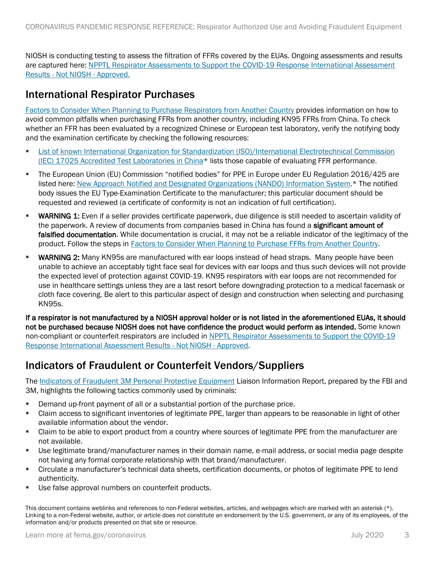NIOSH is conducting testing to assess the filtration of FFRs covered by the EUAs. Ongoing assessments and results are captured here[: NPPTL Respirator Assessments to Support the COVID-19 Response](https://www.cdc.gov/niosh/npptl/respirators/testing/NonNIOSHresults.html) International Assessment Results - Not NIOSH - Approved.

### International Respirator Purchases

[Factors to Consider When Planning to Purchase Respirators from Another Country](https://www.cdc.gov/coronavirus/2019-ncov/hcp/ppe-strategy/international-respirator-purchase.html) provides information on how to avoid common pitfalls when purchasing FFRs from another country, including KN95 FFRs from China. To check whether an FFR has been evaluated by a recognized Chinese or European test laboratory, verify the notifying body and the examination certificate by checking the following resources:

- **•** List of known International Organization for Standardization (ISO)/International Electrotechnical Commission [\(IEC\) 17025 Accredited Test Laboratories in China\\*](https://economie.fgov.be/sites/default/files/Files/Entreprises/laboratories-accredited-by-cnas-for-testing-of-maks.pdf) lists those capable of evaluating FFR performance.
- The European Union (EU) Commission "notified bodies" for PPE in Europe under EU Regulation 2016/425 are listed here: [New Approach Notified and Designated Organizations \(NANDO\) Information System.](https://ec.europa.eu/growth/tools-databases/nando/index.cfm?fuseaction=directive.notifiedbody&dir_id=155501)\* The notified body issues the EU Type-Examination Certificate to the manufacturer; this particular document should be requested and reviewed (a certificate of conformity is not an indication of full certification).
- WARNING 1: Even if a seller provides certificate paperwork, due diligence is still needed to ascertain validity of the paperwork. A review of documents from companies based in China has found a **significant amount of** falsified documentation. While documentation is crucial, it may not be a reliable indicator of the legitimacy of the product. Follow the steps in [Factors to Consider When Planning to Purchase FFRs](https://www.cdc.gov/coronavirus/2019-ncov/hcp/ppe-strategy/international-respirator-purchase.html) from Another Country.
- **WARNING 2:** Many KN95s are manufactured with ear loops instead of head straps. Many people have been unable to achieve an acceptably tight face seal for devices with ear loops and thus such devices will not provide the expected level of protection against COVID-19. KN95 respirators with ear loops are not recommended for use in healthcare settings unless they are a last resort before downgrading protection to a medical facemask or cloth face covering. Be alert to this particular aspect of design and construction when selecting and purchasing KN95s.

If a respirator is not manufactured by a NIOSH approval holder or is not listed in the aforementioned EUAs, it should not be purchased because NIOSH does not have confidence the product would perform as intended. Some known non-compliant or counterfeit respirators are included i[n NPPTL Respirator Assessments to Support the COVID-19](https://www.cdc.gov/niosh/npptl/respirators/testing/NonNIOSHresults.html)  [Response](https://www.cdc.gov/niosh/npptl/respirators/testing/NonNIOSHresults.html) International Assessment Results - Not NIOSH - Approved.

#### Indicators of Fraudulent or Counterfeit Vendors/Suppliers

The [Indicators of Fraudulent 3M Personal Protective Equipment](https://www.team-iha.org/files/non-gated/quality/indicators-of-fraudulent-3m-ppe.aspx) Liaison Information Report, prepared by the FBI and 3M, highlights the following tactics commonly used by criminals:

- **•** Demand up-front payment of all or a substantial portion of the purchase price.
- Claim access to significant inventories of legitimate PPE, larger than appears to be reasonable in light of other available information about the vendor.
- Claim to be able to export product from a country where sources of legitimate PPE from the manufacturer are not available.
- Use legitimate brand/manufacturer names in their domain name, e-mail address, or social media page despite not having any formal corporate relationship with that brand/manufacturer.
- Circulate a manufacturer's technical data sheets, certification documents, or photos of legitimate PPE to lend authenticity.
- Use false approval numbers on counterfeit products.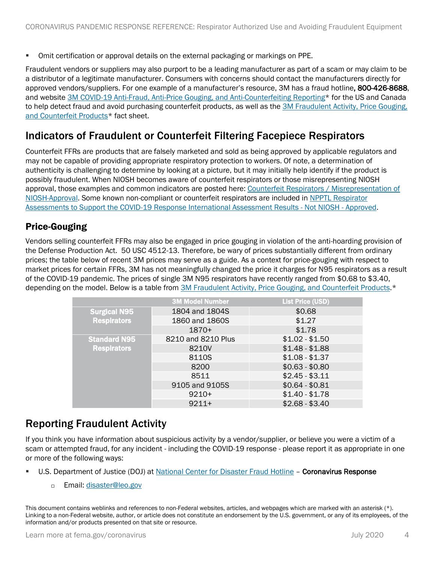**• Omit certification or approval details on the external packaging or markings on PPE.** 

Fraudulent vendors or suppliers may also purport to be a leading manufacturer as part of a scam or may claim to be a distributor of a legitimate manufacturer. Consumers with concerns should contact the manufacturers directly for approved vendors/suppliers. For one example of a manufacturer's resource, 3M has a fraud hotline, 800-426-8688, and website [3M COVID-19 Anti-Fraud, Anti-Price Gouging, and Anti-Counterfeiting Reporting\\*](http://www.go.3m.com/covidfraud) for the US and Canada to help detect fraud and avoid purchasing counterfeit products, as well as th[e 3M Fraudulent Activity, Price Gouging,](https://multimedia.3m.com/mws/media/1803670O/fraudulent-activity-price-gouging-and-counterfeit-products.pdf)  [and Counterfeit Products\\*](https://multimedia.3m.com/mws/media/1803670O/fraudulent-activity-price-gouging-and-counterfeit-products.pdf) fact sheet.

#### Indicators of Fraudulent or Counterfeit Filtering Facepiece Respirators

Counterfeit FFRs are products that are falsely marketed and sold as being approved by applicable regulators and may not be capable of providing appropriate respiratory protection to workers. Of note, a determination of authenticity is challenging to determine by looking at a picture, but it may initially help identify if the product is possibly fraudulent. When NIOSH becomes aware of counterfeit respirators or those misrepresenting NIOSH approval, those examples and common indicators are posted here: [Counterfeit Respirators / Misrepresentation of](https://www.cdc.gov/niosh/npptl/usernotices/counterfeitResp.html)  [NIOSH-Approval.](https://www.cdc.gov/niosh/npptl/usernotices/counterfeitResp.html) Some known non-compliant or counterfeit respirators are included in [NPPTL Respirator](https://www.cdc.gov/niosh/npptl/respirators/testing/NonNIOSHresults.html)  [Assessments to Support the COVID-19 Response](https://www.cdc.gov/niosh/npptl/respirators/testing/NonNIOSHresults.html) International Assessment Results - Not NIOSH - Approved.

#### Price-Gouging

Vendors selling counterfeit FFRs may also be engaged in price gouging in violation of the anti-hoarding provision of the Defense Production Act. 50 USC 4512-13. Therefore, be wary of prices substantially different from ordinary prices; the table below of recent 3M prices may serve as a guide. As a context for price-gouging with respect to market prices for certain FFRs, 3M has not meaningfully changed the price it charges for N95 respirators as a result of the COVID-19 pandemic. The prices of single 3M N95 respirators have recently ranged from \$0.68 to \$3.40, depending on the model. Below is a table from [3M Fraudulent Activity, Price Gouging, and Counterfeit Products.](https://multimedia.3m.com/mws/media/1803670O/fraudulent-activity-price-gouging-and-counterfeit-products.pdf)\*

|                                           | <b>3M Model Number</b> | <b>List Price (USD)</b> |
|-------------------------------------------|------------------------|-------------------------|
| <b>Surgical N95</b><br><b>Respirators</b> | 1804 and 1804S         | \$0.68                  |
|                                           | 1860 and 1860S         | \$1.27                  |
|                                           | $1870+$                | \$1.78                  |
| <b>Standard N95</b>                       | 8210 and 8210 Plus     | $$1.02 - $1.50$         |
| <b>Respirators</b>                        | 8210V                  | $$1.48 - $1.88$         |
|                                           | 8110S                  | $$1.08 - $1.37$         |
|                                           | 8200                   | $$0.63 - $0.80$         |
|                                           | 8511                   | $$2.45 - $3.11$         |
|                                           | 9105 and 9105S         | $$0.64 - $0.81$         |
|                                           | $9210+$                | $$1.40 - $1.78$         |
|                                           | $9211+$                | $$2.68 - $3.40$         |

#### Reporting Fraudulent Activity

If you think you have information about suspicious activity by a vendor/supplier, or believe you were a victim of a scam or attempted fraud, for any incident - including the COVID-19 response - please report it as appropriate in one or more of the following ways:

- U.S. Department of Justice (DOJ) at [National Center for Disaster Fraud Hotline](https://www.justice.gov/coronavirus) Coronavirus Response
	- D Email: [disaster@leo.gov](mailto:disaster@leo.gov)